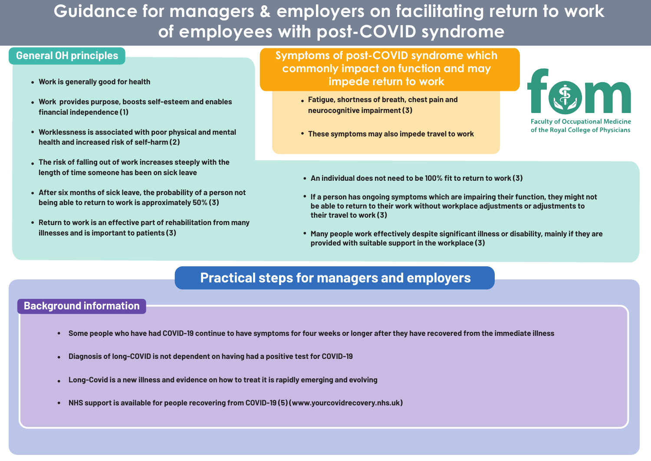# **Guidance for managers & employers on facilitating return to work of employees with post-COVID syndrome**

### **General OH principles**

- **Work is generally good for health**
- **Work provides purpose, boosts self-esteem and enables financial independence (1)**
- **Worklessness is associated with poor physical and mental health and increased risk of self-harm (2)**
- **The risk of falling out of work increases steeply with the length of time someone has been on sick leave**
- **After six months of sick leave, the probability of a person not being able to return to work is approximately 50% (3)**
- **Return to work is an effective part of rehabilitation from many illnesses and is important to patients (3)**

**Symptoms of post-COVID syndrome which commonly impact on function and may impede return to work**

- **Fatigue, shortness of breath, chest pain and neurocognitive impairment (3)**
- **These symptoms may also impede travel to work**



- **An individual does not need to be 100% fit to return to work (3)**
- **If a person has ongoing symptoms which are impairing their function, they might not be able to return to their work without workplace adjustments or adjustments to their travel to work (3)**
- **Many people work effectively despite significant illness or disability, mainly if they are provided with suitable support in the workplace (3)**

# **Practical steps for managers and employers**

## **Background information**

- **Some people who have had COVID-19 continue to have symptoms for four weeks or longer after they have recovered from the immediate illness**
- **Diagnosis of long-COVID is not dependent on having had a positive test for COVID-19**
- **Long-Covid is a new illness and evidence on how to treat it is rapidly emerging and evolving**
- **NHS support is available for people recovering from COVID-19 (5) (www.yourcovidrecovery.nhs.uk)**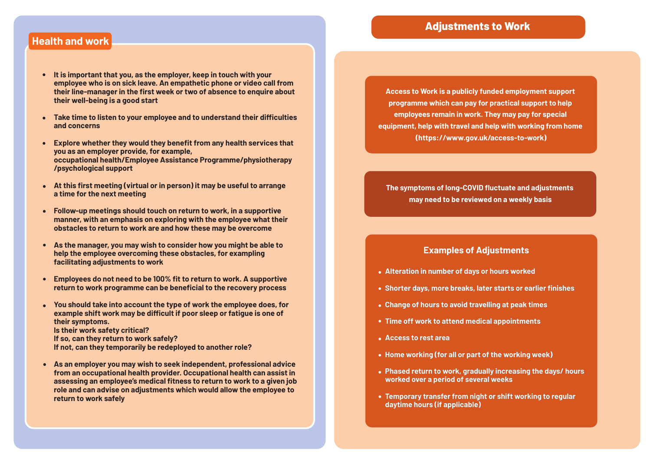#### **Adjustments to Work**

#### **Health and work**

- **It is important that you, as the employer, keep in touch with your employee who is on sick leave. An empathetic phone or video call from their line-manager in the first week or two of absence to enquire about their well-being is a good start**
- **Take time to listen to your employee and to understand their difficulties and concerns**
- **Explore whether they would they benefit from any health services that you as an employer provide, for example, occupational health/Employee Assistance Programme/physiotherapy /psychological support**
- **At this first meeting (virtual or in person) it may be useful to arrange a time for the next meeting**
- **Follow-up meetings should touch on return to work, in a supportive manner, with an emphasis on exploring with the employee what their obstacles to return to work are and how these may be overcome**
- **As the manager, you may wish to consider how you might be able to help the employee overcoming these obstacles, for exampling facilitating adjustments to work**
- **Employees do not need to be 100% fit to return to work. A supportive return to work programme can be beneficial to the recovery process**
- **You should take into account the type of work the employee does, for example shift work may be difficult if poor sleep or fatigue is one of their symptoms. Is their work safety critical? If so, can they return to work safely?** 
	- **If not, can they temporarily be redeployed to another role?**
- **As an employer you may wish to seek independent, professional advice from an occupational health provider. Occupational health can assist in assessing an employee's medical fitness to return to work to a given job role and can advise on adjustments which would allow the employee to return to work safely**

**Access to Work is a publicly funded employment support programme which can pay for practical support to help employees remain in work. They may pay for special equipment, help with travel and help with working from home (https://www.gov.uk/access-to-work)**

**The symptoms of long-COVID fluctuate and adjustments may need to be reviewed on a weekly basis**

#### **Examples of Adjustments**

- **Alteration in number of days or hours worked**
- **Shorter days, more breaks, later starts or earlier finishes**
- **Change of hours to avoid travelling at peak times**
- **Time off work to attend medical appointments**
- **Access to rest area**
- **Home working (for all or part of the working week)**
- **Phased return to work, gradually increasing the days/ hours worked over a period of several weeks**
- **Temporary transfer from night or shift working to regular daytime hours (if applicable)**